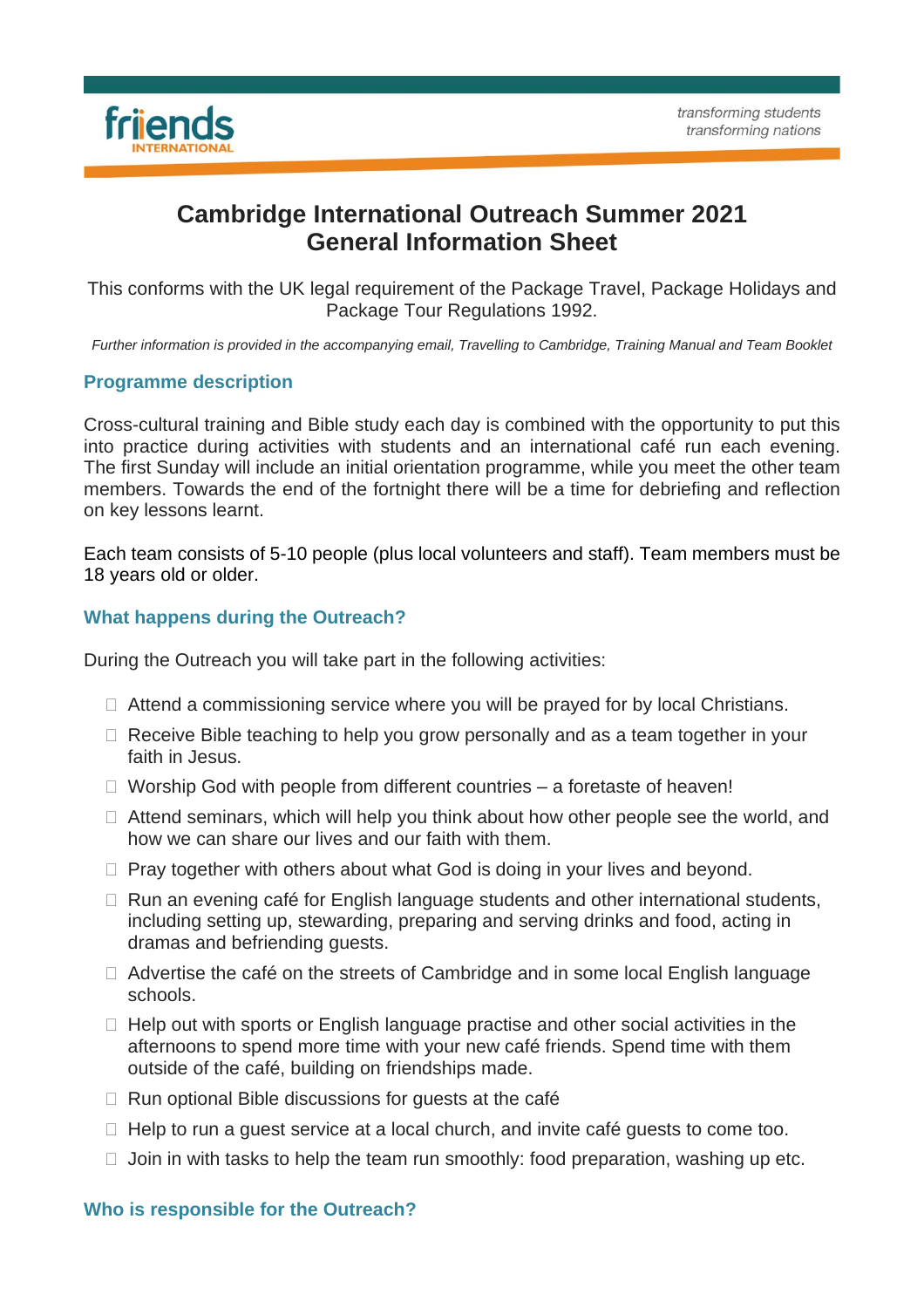

# **Cambridge International Outreach Summer 2021 General Information Sheet**

This conforms with the UK legal requirement of the Package Travel, Package Holidays and Package Tour Regulations 1992.

Further information is provided in the accompanying email, Travelling to Cambridge, Training Manual and Team Booklet

## **Programme description**

Cross-cultural training and Bible study each day is combined with the opportunity to put this into practice during activities with students and an international café run each evening. The first Sunday will include an initial orientation programme, while you meet the other team members. Towards the end of the fortnight there will be a time for debriefing and reflection on key lessons learnt.

Each team consists of 5-10 people (plus local volunteers and staff). Team members must be 18 years old or older.

# **What happens during the Outreach?**

During the Outreach you will take part in the following activities:

- $\Box$  Attend a commissioning service where you will be prayed for by local Christians.
- □ Receive Bible teaching to help you grow personally and as a team together in your faith in Jesus.
- $\Box$  Worship God with people from different countries  $-$  a foretaste of heaven!
- $\Box$  Attend seminars, which will help you think about how other people see the world, and how we can share our lives and our faith with them.
- $\Box$  Pray together with others about what God is doing in your lives and beyond.
- $\Box$  Run an evening café for English language students and other international students, including setting up, stewarding, preparing and serving drinks and food, acting in dramas and befriending guests.
- $\Box$  Advertise the café on the streets of Cambridge and in some local English language schools.
- $\Box$  Help out with sports or English language practise and other social activities in the afternoons to spend more time with your new café friends. Spend time with them outside of the café, building on friendships made.
- $\Box$  Run optional Bible discussions for guests at the café
- $\Box$  Help to run a guest service at a local church, and invite café guests to come too.
- $\Box$  Join in with tasks to help the team run smoothly: food preparation, washing up etc.

#### **Who is responsible for the Outreach?**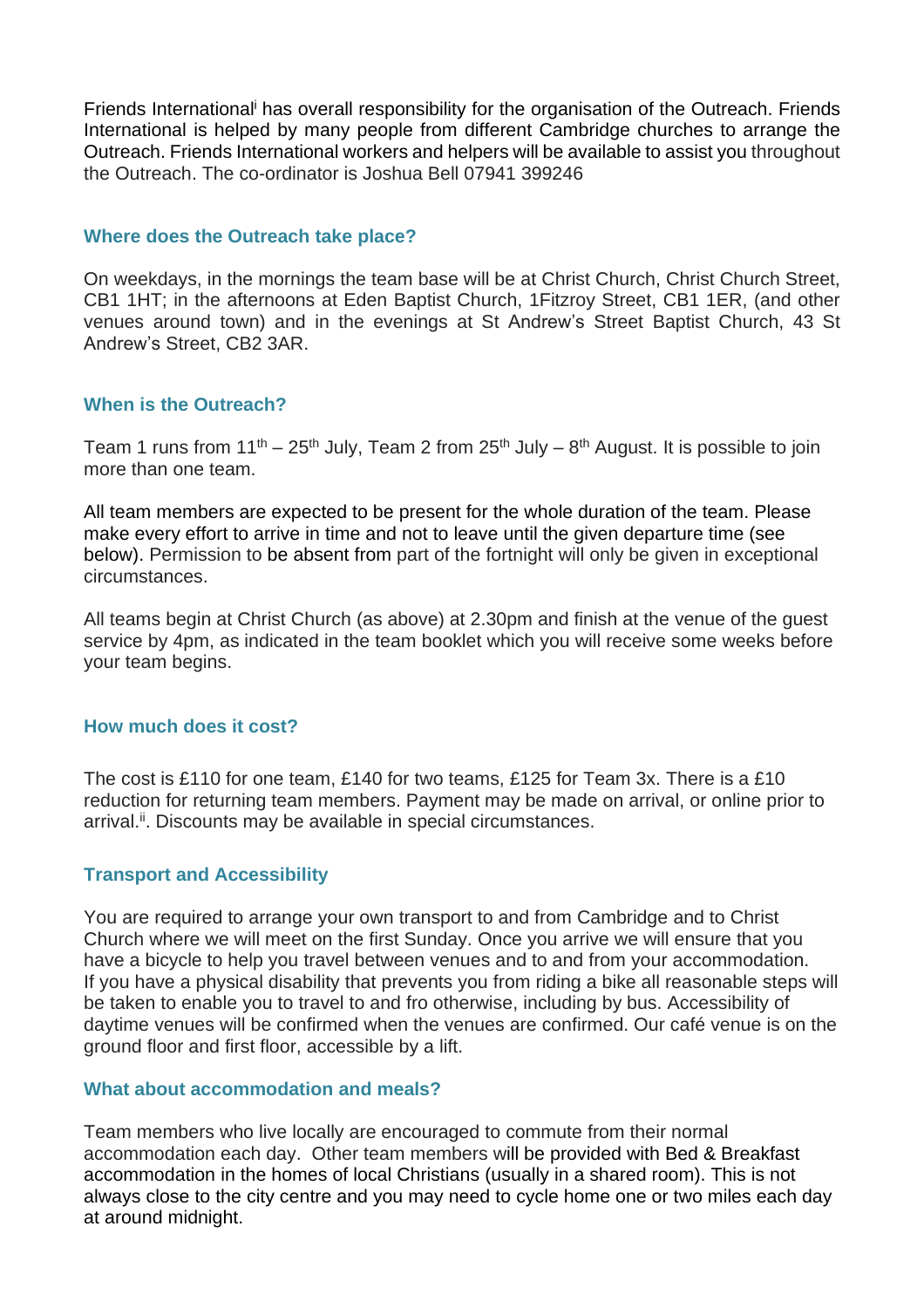Friends International<sup>i</sup> has overall responsibility for the organisation of the Outreach. Friends International is helped by many people from different Cambridge churches to arrange the Outreach. Friends International workers and helpers will be available to assist you throughout the Outreach. The co-ordinator is Joshua Bell 07941 399246

#### **Where does the Outreach take place?**

On weekdays, in the mornings the team base will be at Christ Church, Christ Church Street, CB1 1HT; in the afternoons at Eden Baptist Church, 1Fitzroy Street, CB1 1ER, (and other venues around town) and in the evenings at St Andrew's Street Baptist Church, 43 St Andrew's Street, CB2 3AR.

#### **When is the Outreach?**

Team 1 runs from 11<sup>th</sup> – 25<sup>th</sup> July, Team 2 from 25<sup>th</sup> July – 8<sup>th</sup> August. It is possible to join more than one team.

All team members are expected to be present for the whole duration of the team. Please make every effort to arrive in time and not to leave until the given departure time (see below). Permission to be absent from part of the fortnight will only be given in exceptional circumstances.

All teams begin at Christ Church (as above) at 2.30pm and finish at the venue of the guest service by 4pm, as indicated in the team booklet which you will receive some weeks before your team begins.

#### **How much does it cost?**

The cost is £110 for one team, £140 for two teams, £125 for Team 3x. There is a £10 reduction for returning team members. Payment may be made on arrival, or online prior to arrival.<sup>ii</sup>. Discounts may be available in special circumstances.

#### **Transport and Accessibility**

You are required to arrange your own transport to and from Cambridge and to Christ Church where we will meet on the first Sunday. Once you arrive we will ensure that you have a bicycle to help you travel between venues and to and from your accommodation. If you have a physical disability that prevents you from riding a bike all reasonable steps will be taken to enable you to travel to and fro otherwise, including by bus. Accessibility of daytime venues will be confirmed when the venues are confirmed. Our café venue is on the ground floor and first floor, accessible by a lift.

#### **What about accommodation and meals?**

Team members who live locally are encouraged to commute from their normal accommodation each day. Other team members will be provided with Bed & Breakfast accommodation in the homes of local Christians (usually in a shared room). This is not always close to the city centre and you may need to cycle home one or two miles each day at around midnight.